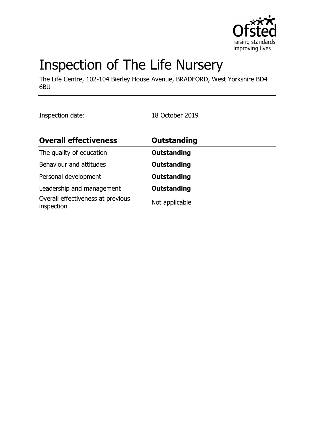

# Inspection of The Life Nursery

The Life Centre, 102-104 Bierley House Avenue, BRADFORD, West Yorkshire BD4 6BU

Inspection date: 18 October 2019

| <b>Overall effectiveness</b>                    | <b>Outstanding</b> |  |
|-------------------------------------------------|--------------------|--|
| The quality of education                        | <b>Outstanding</b> |  |
| Behaviour and attitudes                         | <b>Outstanding</b> |  |
| Personal development                            | <b>Outstanding</b> |  |
| Leadership and management                       | <b>Outstanding</b> |  |
| Overall effectiveness at previous<br>inspection | Not applicable     |  |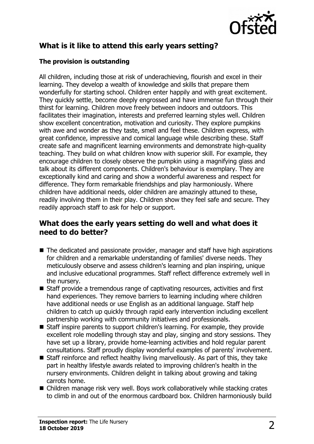

# **What is it like to attend this early years setting?**

#### **The provision is outstanding**

All children, including those at risk of underachieving, flourish and excel in their learning. They develop a wealth of knowledge and skills that prepare them wonderfully for starting school. Children enter happily and with great excitement. They quickly settle, become deeply engrossed and have immense fun through their thirst for learning. Children move freely between indoors and outdoors. This facilitates their imagination, interests and preferred learning styles well. Children show excellent concentration, motivation and curiosity. They explore pumpkins with awe and wonder as they taste, smell and feel these. Children express, with great confidence, impressive and comical language while describing these. Staff create safe and magnificent learning environments and demonstrate high-quality teaching. They build on what children know with superior skill. For example, they encourage children to closely observe the pumpkin using a magnifying glass and talk about its different components. Children's behaviour is exemplary. They are exceptionally kind and caring and show a wonderful awareness and respect for difference. They form remarkable friendships and play harmoniously. Where children have additional needs, older children are amazingly attuned to these, readily involving them in their play. Children show they feel safe and secure. They readily approach staff to ask for help or support.

### **What does the early years setting do well and what does it need to do better?**

- $\blacksquare$  The dedicated and passionate provider, manager and staff have high aspirations for children and a remarkable understanding of families' diverse needs. They meticulously observe and assess children's learning and plan inspiring, unique and inclusive educational programmes. Staff reflect difference extremely well in the nursery.
- Staff provide a tremendous range of captivating resources, activities and first hand experiences. They remove barriers to learning including where children have additional needs or use English as an additional language. Staff help children to catch up quickly through rapid early intervention including excellent partnership working with community initiatives and professionals.
- Staff inspire parents to support children's learning. For example, they provide excellent role modelling through stay and play, singing and story sessions. They have set up a library, provide home-learning activities and hold regular parent consultations. Staff proudly display wonderful examples of parents' involvement.
- $\blacksquare$  Staff reinforce and reflect healthy living marvellously. As part of this, they take part in healthy lifestyle awards related to improving children's health in the nursery environments. Children delight in talking about growing and taking carrots home.
- $\blacksquare$  Children manage risk very well. Boys work collaboratively while stacking crates to climb in and out of the enormous cardboard box. Children harmoniously build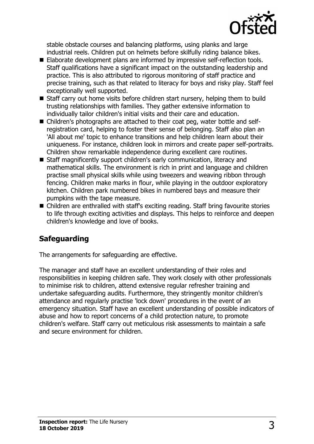

stable obstacle courses and balancing platforms, using planks and large industrial reels. Children put on helmets before skilfully riding balance bikes.

- Elaborate development plans are informed by impressive self-reflection tools. Staff qualifications have a significant impact on the outstanding leadership and practice. This is also attributed to rigorous monitoring of staff practice and precise training, such as that related to literacy for boys and risky play. Staff feel exceptionally well supported.
- $\blacksquare$  Staff carry out home visits before children start nursery, helping them to build trusting relationships with families. They gather extensive information to individually tailor children's initial visits and their care and education.
- Children's photographs are attached to their coat peg, water bottle and selfregistration card, helping to foster their sense of belonging. Staff also plan an 'All about me' topic to enhance transitions and help children learn about their uniqueness. For instance, children look in mirrors and create paper self-portraits. Children show remarkable independence during excellent care routines.
- Staff magnificently support children's early communication, literacy and mathematical skills. The environment is rich in print and language and children practise small physical skills while using tweezers and weaving ribbon through fencing. Children make marks in flour, while playing in the outdoor exploratory kitchen. Children park numbered bikes in numbered bays and measure their pumpkins with the tape measure.
- Children are enthralled with staff's exciting reading. Staff bring favourite stories to life through exciting activities and displays. This helps to reinforce and deepen children's knowledge and love of books.

# **Safeguarding**

The arrangements for safeguarding are effective.

The manager and staff have an excellent understanding of their roles and responsibilities in keeping children safe. They work closely with other professionals to minimise risk to children, attend extensive regular refresher training and undertake safeguarding audits. Furthermore, they stringently monitor children's attendance and regularly practise 'lock down' procedures in the event of an emergency situation. Staff have an excellent understanding of possible indicators of abuse and how to report concerns of a child protection nature, to promote children's welfare. Staff carry out meticulous risk assessments to maintain a safe and secure environment for children.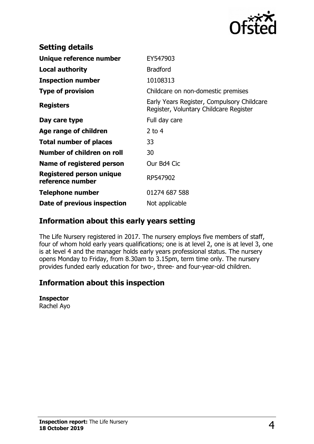

| <b>Setting details</b>                       |                                                                                      |
|----------------------------------------------|--------------------------------------------------------------------------------------|
| Unique reference number                      | EY547903                                                                             |
| <b>Local authority</b>                       | <b>Bradford</b>                                                                      |
| <b>Inspection number</b>                     | 10108313                                                                             |
| <b>Type of provision</b>                     | Childcare on non-domestic premises                                                   |
| <b>Registers</b>                             | Early Years Register, Compulsory Childcare<br>Register, Voluntary Childcare Register |
| Day care type                                | Full day care                                                                        |
| Age range of children                        | 2 to $4$                                                                             |
| <b>Total number of places</b>                | 33                                                                                   |
| Number of children on roll                   | 30                                                                                   |
| Name of registered person                    | Our Bd4 Cic                                                                          |
| Registered person unique<br>reference number | RP547902                                                                             |
| <b>Telephone number</b>                      | 01274 687 588                                                                        |
| Date of previous inspection                  | Not applicable                                                                       |

## **Information about this early years setting**

The Life Nursery registered in 2017. The nursery employs five members of staff, four of whom hold early years qualifications; one is at level 2, one is at level 3, one is at level 4 and the manager holds early years professional status. The nursery opens Monday to Friday, from 8.30am to 3.15pm, term time only. The nursery provides funded early education for two-, three- and four-year-old children.

## **Information about this inspection**

#### **Inspector**

Rachel Ayo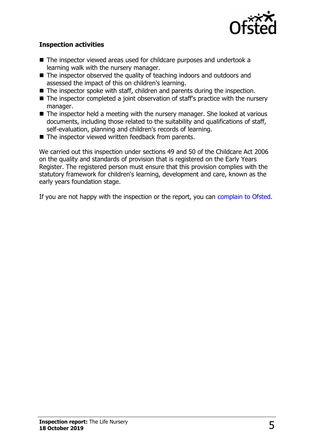

#### **Inspection activities**

- The inspector viewed areas used for childcare purposes and undertook a learning walk with the nursery manager.
- $\blacksquare$  The inspector observed the quality of teaching indoors and outdoors and assessed the impact of this on children's learning.
- $\blacksquare$  The inspector spoke with staff, children and parents during the inspection.
- $\blacksquare$  The inspector completed a joint observation of staff's practice with the nursery manager.
- $\blacksquare$  The inspector held a meeting with the nursery manager. She looked at various documents, including those related to the suitability and qualifications of staff, self-evaluation, planning and children's records of learning.
- $\blacksquare$  The inspector viewed written feedback from parents.

We carried out this inspection under sections 49 and 50 of the Childcare Act 2006 on the quality and standards of provision that is registered on the Early Years Register. The registered person must ensure that this provision complies with the statutory framework for children's learning, development and care, known as the early years foundation stage.

If you are not happy with the inspection or the report, you can [complain to Ofsted.](http://www.gov.uk/complain-ofsted-report)